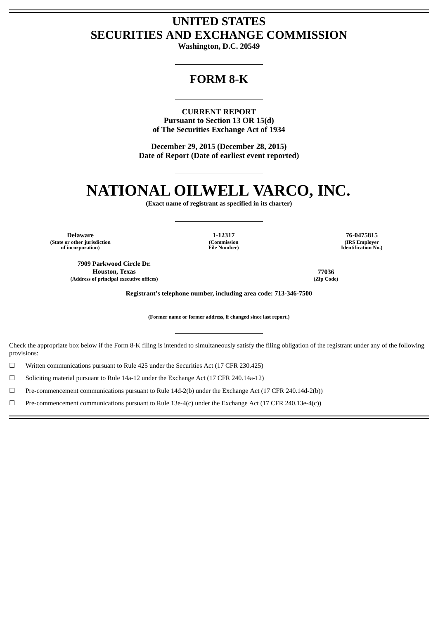## **UNITED STATES SECURITIES AND EXCHANGE COMMISSION**

**Washington, D.C. 20549**

## **FORM 8-K**

**CURRENT REPORT Pursuant to Section 13 OR 15(d) of The Securities Exchange Act of 1934**

**December 29, 2015 (December 28, 2015) Date of Report (Date of earliest event reported)**

## **NATIONAL OILWELL VARCO, INC.**

**(Exact name of registrant as specified in its charter)**

**(Commission File Number)**

**Delaware 1-12317 76-0475815 (State or other jurisdiction of incorporation)**

**7909 Parkwood Circle Dr. Houston, Texas 77036 (Address of principal executive offices) (Zip Code)**

**(IRS Employer Identification No.)**

**Registrant's telephone number, including area code: 713-346-7500**

**(Former name or former address, if changed since last report.)**

Check the appropriate box below if the Form 8-K filing is intended to simultaneously satisfy the filing obligation of the registrant under any of the following provisions:

☐ Written communications pursuant to Rule 425 under the Securities Act (17 CFR 230.425)

☐ Soliciting material pursuant to Rule 14a-12 under the Exchange Act (17 CFR 240.14a-12)

☐ Pre-commencement communications pursuant to Rule 14d-2(b) under the Exchange Act (17 CFR 240.14d-2(b))

 $□$  Pre-commencement communications pursuant to Rule 13e-4(c) under the Exchange Act (17 CFR 240.13e-4(c))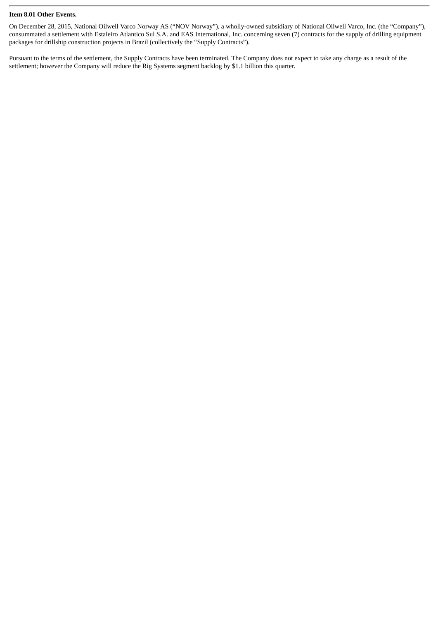## **Item 8.01 Other Events.**

On December 28, 2015, National Oilwell Varco Norway AS ("NOV Norway"), a wholly-owned subsidiary of National Oilwell Varco, Inc. (the "Company"), consummated a settlement with Estaleiro Atlantico Sul S.A. and EAS International, Inc. concerning seven (7) contracts for the supply of drilling equipment packages for drillship construction projects in Brazil (collectively the "Supply Contracts").

Pursuant to the terms of the settlement, the Supply Contracts have been terminated. The Company does not expect to take any charge as a result of the settlement; however the Company will reduce the Rig Systems segment backlog by \$1.1 billion this quarter.